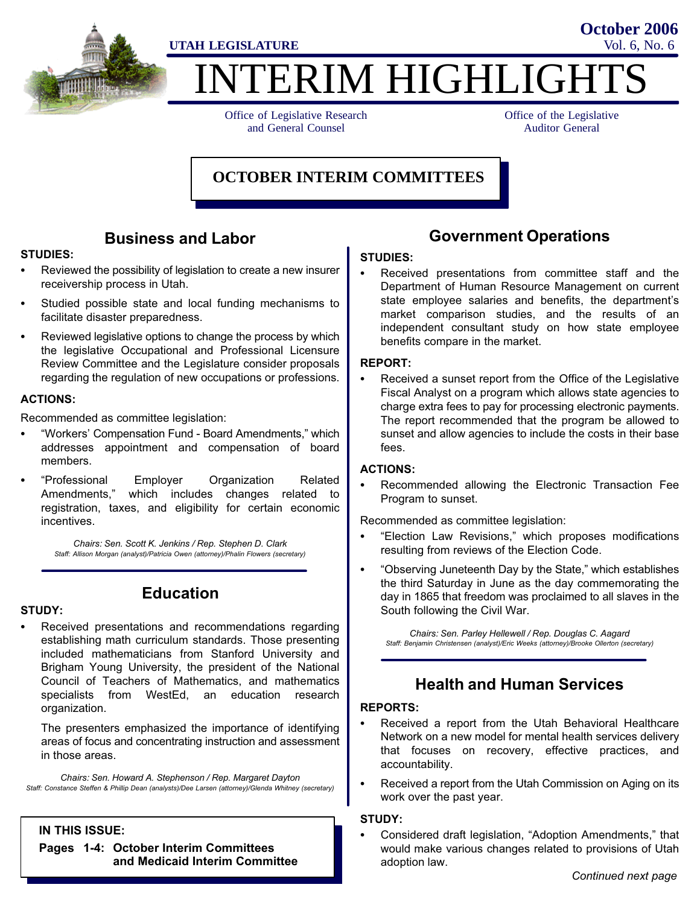

# **ITERIM HIGHLIGHT**

Office of Legislative Research and General Counsel

Office of the Legislative Auditor General

**October 2006**

#### **OCTOBER INTERIM COMMITTEES**

#### Business and Labor

### STUDIES:

- Reviewed the possibility of legislation to create a new insurer receivership process in Utah.
- Studied possible state and local funding mechanisms to facilitate disaster preparedness.
- Reviewed legislative options to change the process by which the legislative Occupational and Professional Licensure Review Committee and the Legislature consider proposals regarding the regulation of new occupations or professions.

#### ACTIONS:

Recommended as committee legislation:

- Workers' Compensation Fund − Board Amendments," which addresses appointment and compensation of board members.
- Professional Employer Organization Related Amendments," which includes changes related to registration, taxes, and eligibility for certain economic incentives.

Chairs: Sen. Scott K. Jenkins / Rep. Stephen D. Clark Staff: Allison Morgan (analyst)/Patricia Owen (attorney)/Phalin Flowers (secretary)

Education

# STUDY:

- Received presentations and recommendations regarding
- establishing math curriculum standards. Those presenting included mathematicians from Stanford University and Brigham Young University, the president of the National Council of Teachers of Mathematics, and mathematics specialists from WestEd, an education research organization.

The presenters emphasized the importance of identifying areas of focus and concentrating instruction and assessment in those areas.

Chairs: Sen. Howard A. Stephenson / Rep. Margaret Dayton Staff: Constance Steffen & Phillip Dean (analysts)/Dee Larsen (attorney)/Glenda Whitney (secretary)

#### IN THIS ISSUE:

Pages 1−4: October Interim Committees and Medicaid Interim Committee

#### Government Operations

# STUDIES:

 Received presentations from committee staff and the Department of Human Resource Management on current state employee salaries and benefits, the department's market comparison studies, and the results of an independent consultant study on how state employee benefits compare in the market.

#### REPORT: ŗ

 Received a sunset report from the Office of the Legislative Fiscal Analyst on a program which allows state agencies to charge extra fees to pay for processing electronic payments. The report recommended that the program be allowed to sunset and allow agencies to include the costs in their base fees.

## ACTIONS:

 Recommended allowing the Electronic Transaction Fee Program to sunset.

Recommended as committee legislation:

- Election Law Revisions," which proposes modifications resulting from reviews of the Election Code.
- Observing Juneteenth Day by the State," which establishes the third Saturday in June as the day commemorating the day in 1865 that freedom was proclaimed to all slaves in the South following the Civil War.

Chairs: Sen. Parley Hellewell / Rep. Douglas C. Aagard Staff: Benjamin Christensen (analyst)/Eric Weeks (attorney)/Brooke Ollerton (secretary)

#### Health and Human Services

#### REPORTS:

- Received a report from the Utah Behavioral Healthcare Network on a new model for mental health services delivery that focuses on recovery, effective practices, and accountability.
- Received a report from the Utah Commission on Aging on its work over the past year.

#### STUDY:

Considered draft legislation, "Adoption Amendments," that would make various changes related to provisions of Utah adoption law.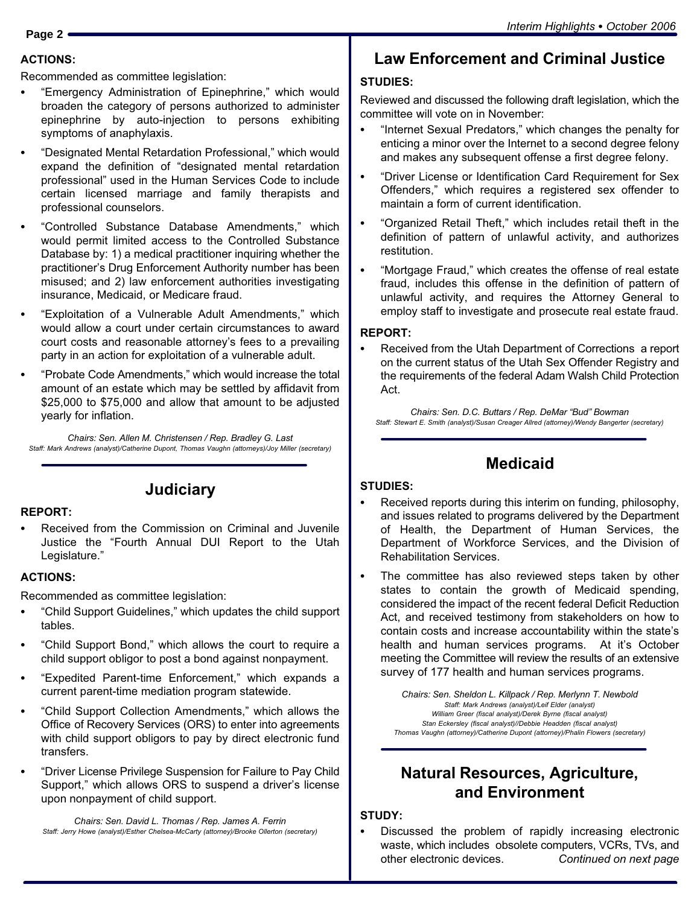#### ACTIONS:

Recommended as committee legislation:

- Emergency Administration of Epinephrine," which would broaden the category of persons authorized to administer epinephrine by auto−injection to persons exhibiting symptoms of anaphylaxis.
- Designated Mental Retardation Professional," which would expand the definition of "designated mental retardation professional" used in the Human Services Code to include certain licensed marriage and family therapists and professional counselors.
- Controlled Substance Database Amendments," which would permit limited access to the Controlled Substance Database by: 1) a medical practitioner inquiring whether the practitioner's Drug Enforcement Authority number has been misused; and 2) law enforcement authorities investigating insurance, Medicaid, or Medicare fraud.
- Exploitation of a Vulnerable Adult Amendments," which would allow a court under certain circumstances to award court costs and reasonable attorney's fees to a prevailing party in an action for exploitation of a vulnerable adult.
- Probate Code Amendments," which would increase the total amount of an estate which may be settled by affidavit from \$25,000 to \$75,000 and allow that amount to be adjusted yearly for inflation.

Chairs: Sen. Allen M. Christensen / Rep. Bradley G. Last Staff: Mark Andrews (analyst)/Catherine Dupont, Thomas Vaughn (attorneys)/Joy Miller (secretary)

**Judiciary** 

REPORT: Received from the Commission on Criminal and Juvenile Justice the Fourth Annual DUI Report to the Utah Legislature."

#### ACTIONS:

Recommended as committee legislation:

- Child Support Guidelines," which updates the child support tables.
- Child Support Bond," which allows the court to require a child support obligor to post a bond against nonpayment.
- Expedited Parent−time Enforcement," which expands a current parent−time mediation program statewide.
- Child Support Collection Amendments," which allows the Office of Recovery Services (ORS) to enter into agreements with child support obligors to pay by direct electronic fund transfers.
- Driver License Privilege Suspension for Failure to Pay Child Support," which allows ORS to suspend a driver's license upon nonpayment of child support.

Chairs: Sen. David L. Thomas / Rep. James A. Ferrin Staff: Jerry Howe (analyst)/Esther Chelsea−McCarty (attorney)/Brooke Ollerton (secretary)

#### Law Enforcement and Criminal Justice

#### STUDIES:

Reviewed and discussed the following draft legislation, which the committee will vote on in November:

- "Internet Sexual Predators," which changes the penalty for enticing a minor over the Internet to a second degree felony and makes any subsequent offense a first degree felony.
- Driver License or Identification Card Requirement for Sex Offenders," which requires a registered sex offender to maintain a form of current identification.
- Organized Retail Theft," which includes retail theft in the definition of pattern of unlawful activity, and authorizes restitution.
- Mortgage Fraud," which creates the offense of real estate fraud, includes this offense in the definition of pattern of unlawful activity, and requires the Attorney General to employ staff to investigate and prosecute real estate fraud.

#### REPORT:

 Received from the Utah Department of Corrections a report on the current status of the Utah Sex Offender Registry and the requirements of the federal Adam Walsh Child Protection Act.

Chairs: Sen. D.C. Buttars / Rep. DeMar "Bud" Bowman Staff: Stewart E. Smith (analyst)/Susan Creager Allred (attorney)/Wendy Bangerter (secretary)

#### Medicaid

# STUDIES:

- Received reports during this interim on funding, philosophy, and issues related to programs delivered by the Department of Health, the Department of Human Services, the Department of Workforce Services, and the Division of Rehabilitation Services.
- The committee has also reviewed steps taken by other states to contain the growth of Medicaid spending, considered the impact of the recent federal Deficit Reduction Act, and received testimony from stakeholders on how to contain costs and increase accountability within the state's health and human services programs. At it's October meeting the Committee will review the results of an extensive survey of 177 health and human services programs.

Chairs: Sen. Sheldon L. Killpack / Rep. Merlynn T. Newbold Staff: Mark Andrews (analyst)/Leif Elder (analyst) William Greer (fiscal analyst)/Derek Byrne (fiscal analyst) Stan Eckersley (fiscal analyst)//Debbie Headden (fiscal analyst) Thomas Vaughn (attorney)/Catherine Dupont (attorney)/Phalin Flowers (secretary)

#### Natural Resources, Agriculture, and Environment

#### STUDY:

 Discussed the problem of rapidly increasing electronic waste, which includes obsolete computers, VCRs, TVs, and other electronic devices. Continued on next page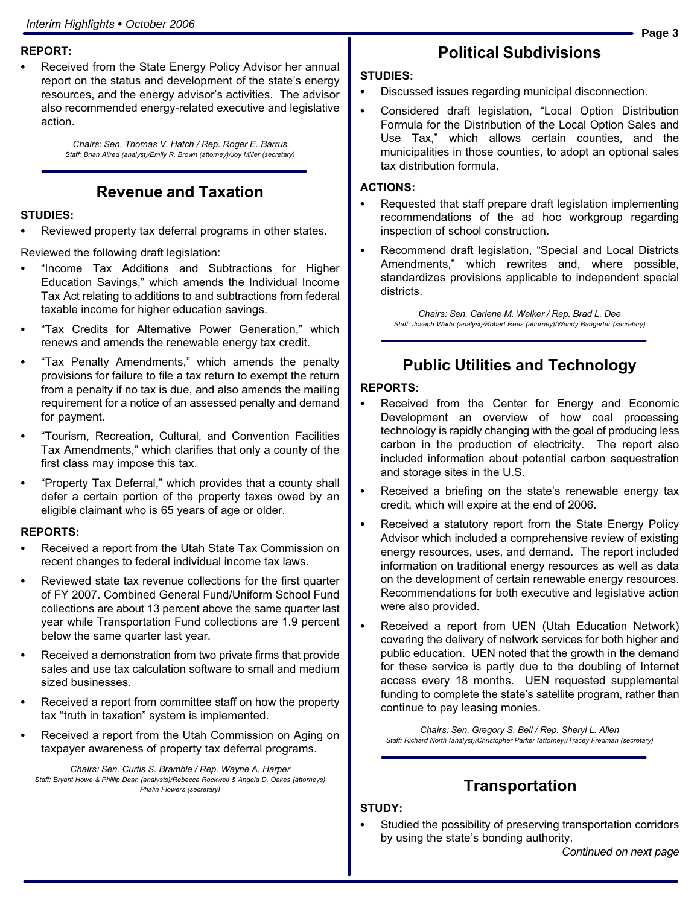# REPORT:

 Received from the State Energy Policy Advisor her annual report on the status and development of the state's energy resources, and the energy advisor's activities. The advisor also recommended energy−related executive and legislative action.

> Chairs: Sen. Thomas V. Hatch / Rep. Roger E. Barrus Staff: Brian Allred (analyst)/Emily R. Brown (attorney)/Joy Miller (secretary)

#### Revenue and Taxation

#### STUDIES:

Reviewed property tax deferral programs in other states.

Reviewed the following draft legislation:<br>Entitled the Tenant Control of the Control of Tenant Control of Tenant Control of Tenant Control of Tenant Con

- "Income Tax Additions and Subtractions for Higher Education Savings," which amends the Individual Income Tax Act relating to additions to and subtractions from federal taxable income for higher education savings.
- Tax Credits for Alternative Power Generation," which renews and amends the renewable energy tax credit.
- Tax Penalty Amendments," which amends the penalty provisions for failure to file a tax return to exempt the return from a penalty if no tax is due, and also amends the mailing requirement for a notice of an assessed penalty and demand for payment.
- Tourism, Recreation, Cultural, and Convention Facilities Tax Amendments," which clarifies that only a county of the first class may impose this tax.
- Property Tax Deferral," which provides that a county shall defer a certain portion of the property taxes owed by an eligible claimant who is 65 years of age or older.

#### REPORTS:

- Received a report from the Utah State Tax Commission on recent changes to federal individual income tax laws.
- Reviewed state tax revenue collections for the first quarter of FY 2007. Combined General Fund/Uniform School Fund collections are about 13 percent above the same quarter last year while Transportation Fund collections are 1.9 percent below the same quarter last year.
- Received a demonstration from two private firms that provide sales and use tax calculation software to small and medium sized businesses.
- Received a report from committee staff on how the property tax "truth in taxation" system is implemented.
- Received a report from the Utah Commission on Aging on taxpayer awareness of property tax deferral programs.

Chairs: Sen. Curtis S. Bramble / Rep. Wayne A. Harper Staff: Bryant Howe & Phillip Dean (analysts)/Rebecca Rockwell & Angela D. Oakes (attorneys) Phalin Flowers (secretary)

#### Political Subdivisions

# STUDIES:

- Discussed issues regarding municipal disconnection.
- Considered draft legislation, "Local Option Distribution Formula for the Distribution of the Local Option Sales and Use Tax," which allows certain counties, and the municipalities in those counties, to adopt an optional sales tax distribution formula.

# ACTIONS:

- Requested that staff prepare draft legislation implementing recommendations of the ad hoc workgroup regarding inspection of school construction.
- Recommend draft legislation, "Special and Local Districts Amendments," which rewrites and, where possible, standardizes provisions applicable to independent special districts.

Chairs: Sen. Carlene M. Walker / Rep. Brad L. Dee Staff: Joseph Wade (analyst)/Robert Rees (attorney)/Wendy Bangerter (secretary)

#### Public Utilities and Technology

# REPORTS:

- Received from the Center for Energy and Economic Development an overview of how coal processing technology is rapidly changing with the goal of producing less carbon in the production of electricity. The report also included information about potential carbon sequestration and storage sites in the U.S.
- Received a briefing on the state's renewable energy tax credit, which will expire at the end of 2006.
- Received a statutory report from the State Energy Policy Advisor which included a comprehensive review of existing energy resources, uses, and demand. The report included information on traditional energy resources as well as data on the development of certain renewable energy resources. Recommendations for both executive and legislative action were also provided.
- Received a report from UEN (Utah Education Network) covering the delivery of network services for both higher and public education. UEN noted that the growth in the demand for these service is partly due to the doubling of Internet access every 18 months. UEN requested supplemental funding to complete the state's satellite program, rather than continue to pay leasing monies.

Chairs: Sen. Gregory S. Bell / Rep. Sheryl L. Allen Staff: Richard North (analyst)/Christopher Parker (attorney)/Tracey Fredman (secretary)

#### **Transportation**

# STUDY:

 Studied the possibility of preserving transportation corridors by using the state's bonding authority.